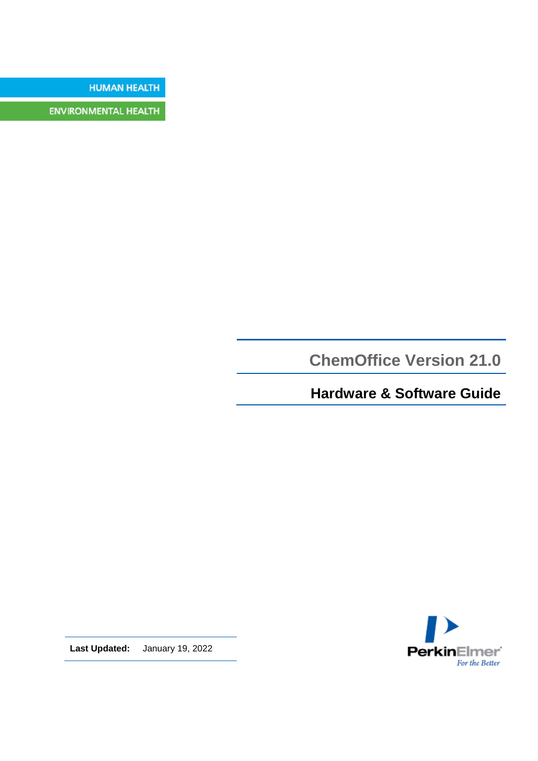**HUMAN HEALTH** 

**ENVIRONMENTAL HEALTH** 

**ChemOffice Version 21.0**

**Hardware & Software Guide**



**Last Updated:** January 19, 2022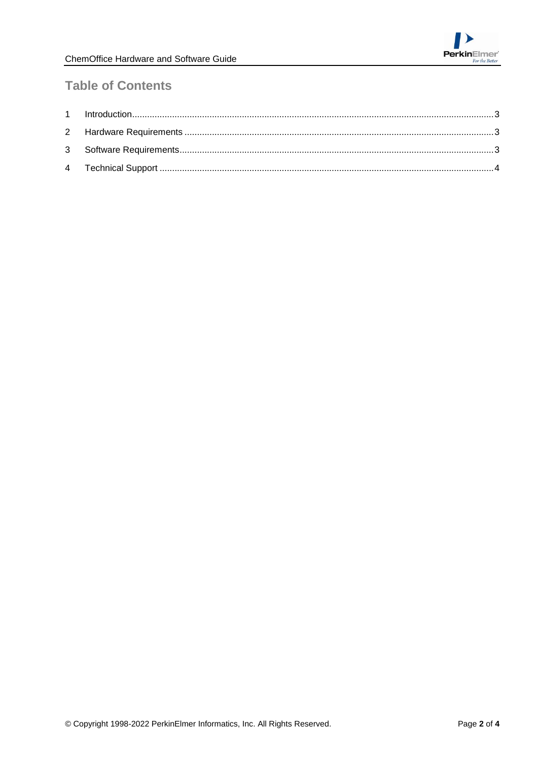# **Table of Contents**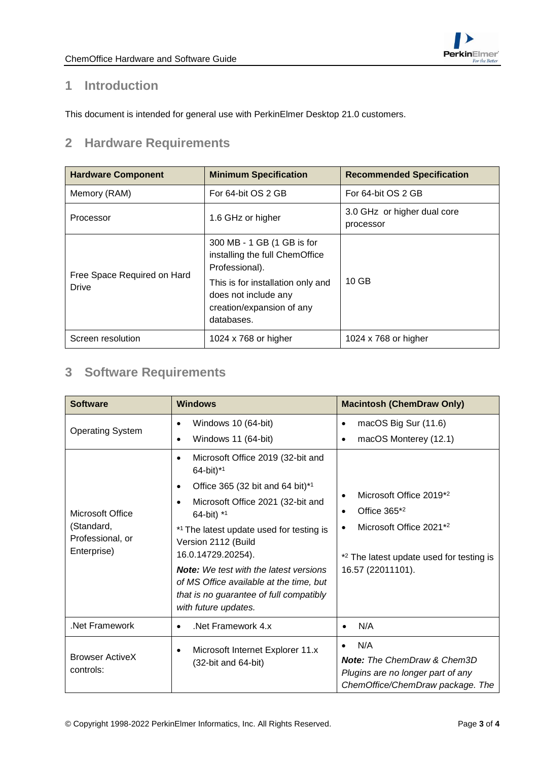

#### <span id="page-2-0"></span>**1 Introduction**

<span id="page-2-1"></span>This document is intended for general use with PerkinElmer Desktop 21.0 customers.

## **2 Hardware Requirements**

| <b>Hardware Component</b>                   | <b>Minimum Specification</b>                                                                         | <b>Recommended Specification</b>         |
|---------------------------------------------|------------------------------------------------------------------------------------------------------|------------------------------------------|
| Memory (RAM)                                | For 64-bit OS 2 GB                                                                                   | For 64-bit OS 2 GB                       |
| Processor                                   | 1.6 GHz or higher                                                                                    | 3.0 GHz or higher dual core<br>processor |
| Free Space Required on Hard<br><b>Drive</b> | 300 MB - 1 GB (1 GB is for<br>installing the full ChemOffice<br>Professional).                       |                                          |
|                                             | This is for installation only and<br>does not include any<br>creation/expansion of any<br>databases. | $10$ GB                                  |
| Screen resolution                           | 1024 x 768 or higher                                                                                 | 1024 x 768 or higher                     |

## <span id="page-2-2"></span>**3 Software Requirements**

| <b>Software</b>                                                   | <b>Windows</b>                                                                                                                                              | <b>Macintosh (ChemDraw Only)</b>                                                                                                                                                        |
|-------------------------------------------------------------------|-------------------------------------------------------------------------------------------------------------------------------------------------------------|-----------------------------------------------------------------------------------------------------------------------------------------------------------------------------------------|
| <b>Operating System</b>                                           | Windows 10 (64-bit)                                                                                                                                         | macOS Big Sur (11.6)<br>$\bullet$                                                                                                                                                       |
|                                                                   | Windows 11 (64-bit)                                                                                                                                         | macOS Monterey (12.1)                                                                                                                                                                   |
| Microsoft Office<br>(Standard,<br>Professional, or<br>Enterprise) | Microsoft Office 2019 (32-bit and<br>$64$ -bit)* <sup>1</sup>                                                                                               |                                                                                                                                                                                         |
|                                                                   | Office 365 (32 bit and 64 bit) $*1$                                                                                                                         | Microsoft Office 2019 <sup>*2</sup><br>$\bullet$<br>Office $365*2$<br>$\bullet$<br>Microsoft Office 2021*2<br>* <sup>2</sup> The latest update used for testing is<br>16.57 (22011101). |
|                                                                   | Microsoft Office 2021 (32-bit and<br>64-bit) *1                                                                                                             |                                                                                                                                                                                         |
|                                                                   | *1 The latest update used for testing is<br>Version 2112 (Build<br>16.0.14729.20254).                                                                       |                                                                                                                                                                                         |
|                                                                   | <b>Note:</b> We test with the latest versions<br>of MS Office available at the time, but<br>that is no guarantee of full compatibly<br>with future updates. |                                                                                                                                                                                         |
| Net Framework                                                     | Net Framework 4.x<br>$\bullet$                                                                                                                              | N/A<br>$\bullet$                                                                                                                                                                        |
| <b>Browser ActiveX</b><br>controls:                               | Microsoft Internet Explorer 11.x<br>(32-bit and 64-bit)                                                                                                     | N/A<br><b>Note:</b> The ChemDraw & Chem3D<br>Plugins are no longer part of any<br>ChemOffice/ChemDraw package. The                                                                      |